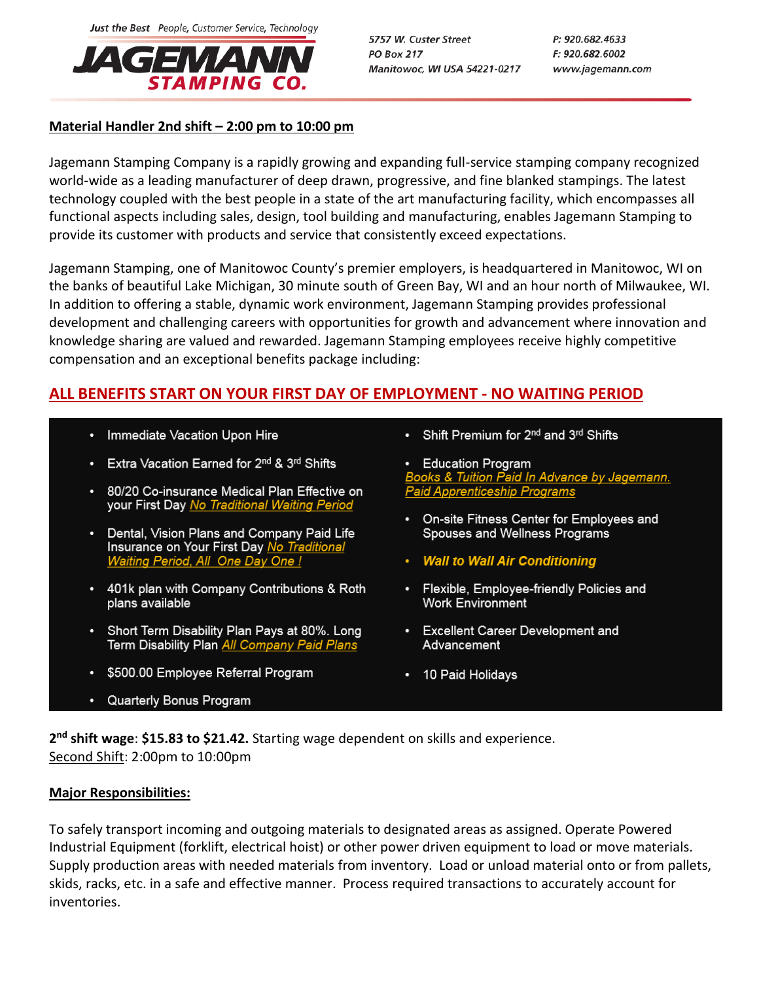

5757 W. Custer Street **PO Box 217** Manitowoc, WI USA 54221-0217 P: 920.682.4633 F: 920.682.6002 www.jagemann.com

## **Material Handler 2nd shift – 2:00 pm to 10:00 pm**

Jagemann Stamping Company is a rapidly growing and expanding full-service stamping company recognized world-wide as a leading manufacturer of deep drawn, progressive, and fine blanked stampings. The latest technology coupled with the best people in a state of the art manufacturing facility, which encompasses all functional aspects including sales, design, tool building and manufacturing, enables Jagemann Stamping to provide its customer with products and service that consistently exceed expectations.

Jagemann Stamping, one of Manitowoc County's premier employers, is headquartered in Manitowoc, WI on the banks of beautiful Lake Michigan, 30 minute south of Green Bay, WI and an hour north of Milwaukee, WI. In addition to offering a stable, dynamic work environment, Jagemann Stamping provides professional development and challenging careers with opportunities for growth and advancement where innovation and knowledge sharing are valued and rewarded. Jagemann Stamping employees receive highly competitive compensation and an exceptional benefits package including:

# **ALL BENEFITS START ON YOUR FIRST DAY OF EMPLOYMENT - NO WAITING PERIOD**

- Immediate Vacation Upon Hire
- Extra Vacation Earned for 2<sup>nd</sup> & 3<sup>rd</sup> Shifts
- 80/20 Co-insurance Medical Plan Effective on your First Day No Traditional Waiting Period
- Dental, Vision Plans and Company Paid Life Insurance on Your First Day No Tra Waiting Period, All One Day One !
- 401k plan with Company Contributions & Roth plans available
- Short Term Disability Plan Pays at 80%. Long Term Disability Plan All Company Paid Plans
- \$500.00 Employee Referral Program
- Quarterly Bonus Program

• Shift Premium for 2<sup>nd</sup> and 3<sup>rd</sup> Shifts

• Education Program Books & Tuition Paid In Advance by Jagemann.<br>Paid Apprenticeship Programs

- On-site Fitness Center for Employees and Spouses and Wellness Programs
- **Wall to Wall Air Conditioning**
- Flexible, Employee-friendly Policies and **Work Environment**
- Excellent Career Development and Advancement
- 10 Paid Holidays

**2 nd shift wage**: **\$15.83 to \$21.42.** Starting wage dependent on skills and experience. Second Shift: 2:00pm to 10:00pm

### **Major Responsibilities:**

To safely transport incoming and outgoing materials to designated areas as assigned. Operate Powered Industrial Equipment (forklift, electrical hoist) or other power driven equipment to load or move materials. Supply production areas with needed materials from inventory. Load or unload material onto or from pallets, skids, racks, etc. in a safe and effective manner. Process required transactions to accurately account for inventories.